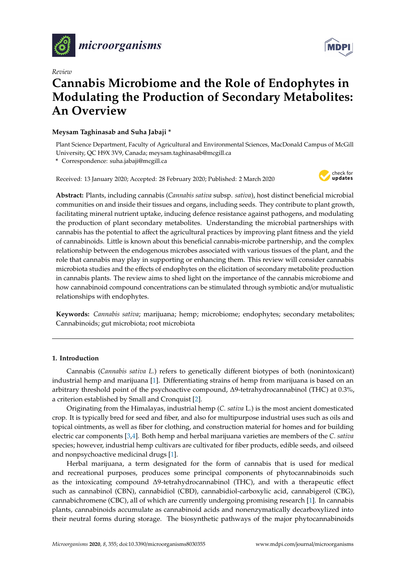

*Review*



# **Cannabis Microbiome and the Role of Endophytes in Modulating the Production of Secondary Metabolites: An Overview**

# **Meysam Taghinasab and Suha Jabaji \***

Plant Science Department, Faculty of Agricultural and Environmental Sciences, MacDonald Campus of McGill University, QC H9X 3V9, Canada; meysam.taghinasab@mcgill.ca

**\*** Correspondence: suha.jabaji@mcgill.ca

Received: 13 January 2020; Accepted: 28 February 2020; Published: 2 March 2020



**Abstract:** Plants, including cannabis (*Cannabis sativa* subsp. *sativa*), host distinct beneficial microbial communities on and inside their tissues and organs, including seeds. They contribute to plant growth, facilitating mineral nutrient uptake, inducing defence resistance against pathogens, and modulating the production of plant secondary metabolites. Understanding the microbial partnerships with cannabis has the potential to affect the agricultural practices by improving plant fitness and the yield of cannabinoids. Little is known about this beneficial cannabis-microbe partnership, and the complex relationship between the endogenous microbes associated with various tissues of the plant, and the role that cannabis may play in supporting or enhancing them. This review will consider cannabis microbiota studies and the effects of endophytes on the elicitation of secondary metabolite production in cannabis plants. The review aims to shed light on the importance of the cannabis microbiome and how cannabinoid compound concentrations can be stimulated through symbiotic and/or mutualistic relationships with endophytes.

**Keywords:** *Cannabis sativa*; marijuana; hemp; microbiome; endophytes; secondary metabolites; Cannabinoids; gut microbiota; root microbiota

# **1. Introduction**

Cannabis (*Cannabis sativa L.*) refers to genetically different biotypes of both (nonintoxicant) industrial hemp and marijuana [\[1\]](#page-9-0). Differentiating strains of hemp from marijuana is based on an arbitrary threshold point of the psychoactive compound, ∆9-tetrahydrocannabinol (THC) at 0.3%, a criterion established by Small and Cronquist [\[2\]](#page-9-1).

Originating from the Himalayas, industrial hemp (*C. sativa* L.) is the most ancient domesticated crop. It is typically bred for seed and fiber, and also for multipurpose industrial uses such as oils and topical ointments, as well as fiber for clothing, and construction material for homes and for building electric car components [\[3,](#page-9-2)[4\]](#page-9-3). Both hemp and herbal marijuana varieties are members of the *C. sativa* species; however, industrial hemp cultivars are cultivated for fiber products, edible seeds, and oilseed and nonpsychoactive medicinal drugs [\[1\]](#page-9-0).

Herbal marijuana, a term designated for the form of cannabis that is used for medical and recreational purposes, produces some principal components of phytocannabinoids such as the intoxicating compound ∆9-tetrahydrocannabinol (THC), and with a therapeutic effect such as cannabinol (CBN), cannabidiol (CBD), cannabidiol-carboxylic acid, cannabigerol (CBG), cannabichromene (CBC), all of which are currently undergoing promising research [\[1\]](#page-9-0). In cannabis plants, cannabinoids accumulate as cannabinoid acids and nonenzymatically decarboxylized into their neutral forms during storage. The biosynthetic pathways of the major phytocannabinoids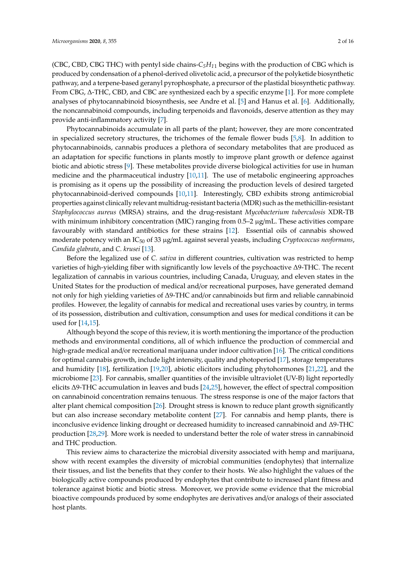(CBC, CBD, CBG THC) with pentyl side chains- $C_5H_{11}$  begins with the production of CBG which is produced by condensation of a phenol-derived olivetolic acid, a precursor of the polyketide biosynthetic pathway, and a terpene-based geranyl pyrophosphate, a precursor of the plastidal biosynthetic pathway. From CBG, ∆-THC, CBD, and CBC are synthesized each by a specific enzyme [\[1\]](#page-9-0). For more complete analyses of phytocannabinoid biosynthesis, see Andre et al. [\[5\]](#page-9-4) and Hanus et al. [\[6\]](#page-9-5). Additionally, the noncannabinoid compounds, including terpenoids and flavonoids, deserve attention as they may provide anti-inflammatory activity [\[7\]](#page-9-6).

Phytocannabinoids accumulate in all parts of the plant; however, they are more concentrated in specialized secretory structures, the trichomes of the female flower buds [\[5](#page-9-4)[,8\]](#page-9-7). In addition to phytocannabinoids, cannabis produces a plethora of secondary metabolites that are produced as an adaptation for specific functions in plants mostly to improve plant growth or defence against biotic and abiotic stress [\[9\]](#page-9-8). These metabolites provide diverse biological activities for use in human medicine and the pharmaceutical industry [\[10](#page-9-9)[,11\]](#page-9-10). The use of metabolic engineering approaches is promising as it opens up the possibility of increasing the production levels of desired targeted phytocannabinoid-derived compounds [\[10,](#page-9-9)[11\]](#page-9-10). Interestingly, CBD exhibits strong antimicrobial properties against clinically relevant multidrug-resistant bacteria (MDR) such as the methicillin-resistant *Staphylococcus aureus* (MRSA) strains, and the drug-resistant *Mycobacterium tuberculosis* XDR-TB with minimum inhibitory concentration (MIC) ranging from  $0.5-2 \mu g/mL$ . These activities compare favourably with standard antibiotics for these strains [\[12\]](#page-10-0). Essential oils of cannabis showed moderate potency with an IC<sub>50</sub> of 33 µg/mL against several yeasts, including *Cryptococcus neoformans*, *Candida glabrata*, and *C. krusei* [\[13\]](#page-10-1).

Before the legalized use of *C. sativa* in different countries, cultivation was restricted to hemp varieties of high-yielding fiber with significantly low levels of the psychoactive ∆9-THC. The recent legalization of cannabis in various countries, including Canada, Uruguay, and eleven states in the United States for the production of medical and/or recreational purposes, have generated demand not only for high yielding varieties of ∆9-THC and/or cannabinoids but firm and reliable cannabinoid profiles. However, the legality of cannabis for medical and recreational uses varies by country, in terms of its possession, distribution and cultivation, consumption and uses for medical conditions it can be used for [\[14,](#page-10-2)[15\]](#page-10-3).

Although beyond the scope of this review, it is worth mentioning the importance of the production methods and environmental conditions, all of which influence the production of commercial and high-grade medical and/or recreational marijuana under indoor cultivation [\[16\]](#page-10-4). The critical conditions for optimal cannabis growth, include light intensity, quality and photoperiod [\[17\]](#page-10-5), storage temperatures and humidity [\[18\]](#page-10-6), fertilization [\[19](#page-10-7)[,20\]](#page-10-8), abiotic elicitors including phytohormones [\[21](#page-10-9)[,22\]](#page-10-10), and the microbiome [\[23\]](#page-10-11). For cannabis, smaller quantities of the invisible ultraviolet (UV-B) light reportedly elicits ∆9-THC accumulation in leaves and buds [\[24,](#page-10-12)[25\]](#page-10-13), however, the effect of spectral composition on cannabinoid concentration remains tenuous. The stress response is one of the major factors that alter plant chemical composition [\[26\]](#page-10-14). Drought stress is known to reduce plant growth significantly but can also increase secondary metabolite content [\[27\]](#page-10-15). For cannabis and hemp plants, there is inconclusive evidence linking drought or decreased humidity to increased cannabinoid and ∆9-THC production [\[28,](#page-10-16)[29\]](#page-10-17). More work is needed to understand better the role of water stress in cannabinoid and THC production.

This review aims to characterize the microbial diversity associated with hemp and marijuana, show with recent examples the diversity of microbial communities (endophytes) that internalize their tissues, and list the benefits that they confer to their hosts. We also highlight the values of the biologically active compounds produced by endophytes that contribute to increased plant fitness and tolerance against biotic and biotic stress. Moreover, we provide some evidence that the microbial bioactive compounds produced by some endophytes are derivatives and/or analogs of their associated host plants.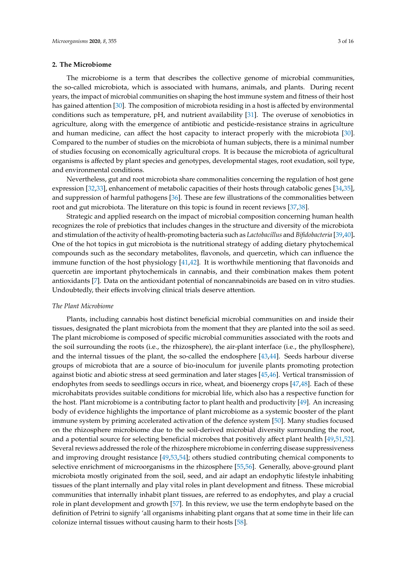## **2. The Microbiome**

The microbiome is a term that describes the collective genome of microbial communities, the so-called microbiota, which is associated with humans, animals, and plants. During recent years, the impact of microbial communities on shaping the host immune system and fitness of their host has gained attention [\[30\]](#page-10-18). The composition of microbiota residing in a host is affected by environmental conditions such as temperature, pH, and nutrient availability [\[31\]](#page-10-19). The overuse of xenobiotics in agriculture, along with the emergence of antibiotic and pesticide-resistance strains in agriculture and human medicine, can affect the host capacity to interact properly with the microbiota [\[30\]](#page-10-18). Compared to the number of studies on the microbiota of human subjects, there is a minimal number of studies focusing on economically agricultural crops. It is because the microbiota of agricultural organisms is affected by plant species and genotypes, developmental stages, root exudation, soil type, and environmental conditions.

Nevertheless, gut and root microbiota share commonalities concerning the regulation of host gene expression [\[32,](#page-10-20)[33\]](#page-10-21), enhancement of metabolic capacities of their hosts through catabolic genes [\[34](#page-11-0)[,35\]](#page-11-1), and suppression of harmful pathogens [\[36\]](#page-11-2). These are few illustrations of the commonalities between root and gut microbiota. The literature on this topic is found in recent reviews [\[37](#page-11-3)[,38\]](#page-11-4).

Strategic and applied research on the impact of microbial composition concerning human health recognizes the role of prebiotics that includes changes in the structure and diversity of the microbiota and stimulation of the activity of health-promoting bacteria such as *Lactobacillus* and *Bifidobacteria* [\[39](#page-11-5)[,40\]](#page-11-6)**.** One of the hot topics in gut microbiota is the nutritional strategy of adding dietary phytochemical compounds such as the secondary metabolites, flavonols, and quercetin, which can influence the immune function of the host physiology [\[41,](#page-11-7)[42\]](#page-11-8). It is worthwhile mentioning that flavonoids and quercetin are important phytochemicals in cannabis, and their combination makes them potent antioxidants [\[7\]](#page-9-6). Data on the antioxidant potential of noncannabinoids are based on in vitro studies. Undoubtedly, their effects involving clinical trials deserve attention.

#### *The Plant Microbiome*

Plants, including cannabis host distinct beneficial microbial communities on and inside their tissues, designated the plant microbiota from the moment that they are planted into the soil as seed. The plant microbiome is composed of specific microbial communities associated with the roots and the soil surrounding the roots (i.e., the rhizosphere), the air-plant interface (i.e., the phyllosphere), and the internal tissues of the plant, the so-called the endosphere [\[43,](#page-11-9)[44\]](#page-11-10). Seeds harbour diverse groups of microbiota that are a source of bio-inoculum for juvenile plants promoting protection against biotic and abiotic stress at seed germination and later stages [\[45](#page-11-11)[,46\]](#page-11-12). Vertical transmission of endophytes from seeds to seedlings occurs in rice, wheat, and bioenergy crops [\[47](#page-11-13)[,48\]](#page-11-14). Each of these microhabitats provides suitable conditions for microbial life, which also has a respective function for the host. Plant microbiome is a contributing factor to plant health and productivity [\[49\]](#page-11-15). An increasing body of evidence highlights the importance of plant microbiome as a systemic booster of the plant immune system by priming accelerated activation of the defence system [\[50\]](#page-11-16). Many studies focused on the rhizosphere microbiome due to the soil-derived microbial diversity surrounding the root, and a potential source for selecting beneficial microbes that positively affect plant health [\[49,](#page-11-15)[51,](#page-11-17)[52\]](#page-11-18). Several reviews addressed the role of the rhizosphere microbiome in conferring disease suppressiveness and improving drought resistance [\[49,](#page-11-15)[53,](#page-11-19)[54\]](#page-11-20); others studied contributing chemical components to selective enrichment of microorganisms in the rhizosphere [\[55](#page-11-21)[,56\]](#page-11-22). Generally, above-ground plant microbiota mostly originated from the soil, seed, and air adapt an endophytic lifestyle inhabiting tissues of the plant internally and play vital roles in plant development and fitness. These microbial communities that internally inhabit plant tissues, are referred to as endophytes, and play a crucial role in plant development and growth [\[57\]](#page-12-0). In this review, we use the term endophyte based on the definition of Petrini to signify 'all organisms inhabiting plant organs that at some time in their life can colonize internal tissues without causing harm to their hosts [\[58\]](#page-12-1).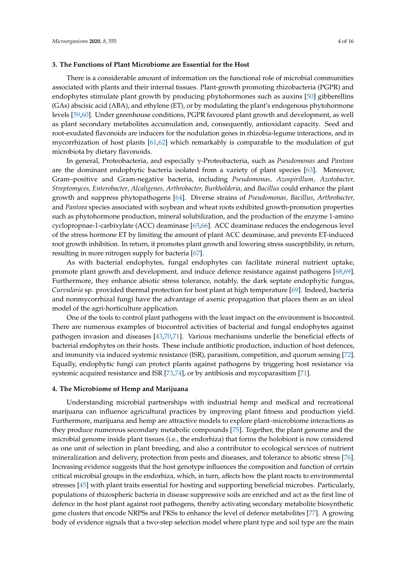#### **3. The Functions of Plant Microbiome are Essential for the Host**

There is a considerable amount of information on the functional role of microbial communities associated with plants and their internal tissues. Plant-growth promoting rhizobacteria (PGPR) and endophytes stimulate plant growth by producing phytohormones such as auxins [\[50\]](#page-11-16) gibberellins (GAs) abscisic acid (ABA), and ethylene (ET), or by modulating the plant's endogenous phytohormone levels [\[59](#page-12-2)[,60\]](#page-12-3). Under greenhouse conditions, PGPR favoured plant growth and development, as well as plant secondary metabolites accumulation and, consequently, antioxidant capacity. Seed and root-exudated flavonoids are inducers for the nodulation genes in rhizobia-legume interactions, and in mycorrhization of host plants [\[61](#page-12-4)[,62\]](#page-12-5) which remarkably is comparable to the modulation of gut microbiota by dietary flavonoids.

In general, Proteobacteria, and especially γ-Proteobacteria, such as *Pseudomonas* and *Pantoea* are the dominant endophytic bacteria isolated from a variety of plant species [\[63\]](#page-12-6). Moreover, Gram–positive and Gram-negative bacteria, including *Pseudomonas, Azospirillum, Azotobacter, Streptomyces, Enterobacter*, *Alcaligenes, Arthrobacter, Burkholderia*, and *Bacillus* could enhance the plant growth and suppress phytopathogens [\[64\]](#page-12-7). Diverse strains of *Pseudomonas, Bacillus*, *Arthrobacter,* and *Pantoea* species associated with soybean and wheat roots exhibited growth-promotion properties such as phytohormone production, mineral solubilization, and the production of the enzyme 1-amino cyclopropnae-1-carbixylate (ACC) deaminase [\[65,](#page-12-8)[66\]](#page-12-9). ACC deaminase reduces the endogenous level of the stress hormone ET by limiting the amount of plant ACC deaminase, and prevents ET-induced root growth inhibition. In return, it promotes plant growth and lowering stress susceptibility, in return, resulting in more nitrogen supply for bacteria [\[67\]](#page-12-10).

As with bacterial endophytes, fungal endophytes can facilitate mineral nutrient uptake, promote plant growth and development, and induce defence resistance against pathogens [\[68,](#page-12-11)[69\]](#page-12-12). Furthermore, they enhance abiotic stress tolerance, notably, the dark septate endophytic fungus, *Curvularia* sp. provided thermal protection for host plant at high temperature [\[69\]](#page-12-12). Indeed, bacteria and nonmycorrhizal fungi have the advantage of axenic propagation that places them as an ideal model of the agri-horticulture application.

One of the tools to control plant pathogens with the least impact on the environment is biocontrol. There are numerous examples of biocontrol activities of bacterial and fungal endophytes against pathogen invasion and diseases [\[43](#page-11-9)[,70](#page-12-13)[,71\]](#page-12-14). Various mechanisms underlie the beneficial effects of bacterial endophytes on their hosts. These include antibiotic production, induction of host defences, and immunity via induced systemic resistance (ISR), parasitism, competition, and quorum sensing [\[72\]](#page-12-15). Equally, endophytic fungi can protect plants against pathogens by triggering host resistance via systemic acquired resistance and ISR [\[73,](#page-12-16)[74\]](#page-12-17), or by antibiosis and mycoparasitism [\[71\]](#page-12-14).

#### **4. The Microbiome of Hemp and Marijuana**

Understanding microbial partnerships with industrial hemp and medical and recreational marijuana can influence agricultural practices by improving plant fitness and production yield. Furthermore, marijuana and hemp are attractive models to explore plant–microbiome interactions as they produce numerous secondary metabolic compounds [\[75\]](#page-12-18). Together, the plant genome and the microbial genome inside plant tissues (i.e., the endorhiza) that forms the holobiont is now considered as one unit of selection in plant breeding, and also a contributor to ecological services of nutrient mineralization and delivery, protection from pests and diseases, and tolerance to abiotic stress [\[76\]](#page-12-19). Increasing evidence suggests that the host genotype influences the composition and function of certain critical microbial groups in the endorhiza, which, in turn, affects how the plant reacts to environmental stresses [\[45\]](#page-11-11) with plant traits essential for hosting and supporting beneficial microbes. Particularly, populations of rhizospheric bacteria in disease suppressive soils are enriched and act as the first line of defence in the host plant against root pathogens, thereby activating secondary metabolite biosynthetic gene clusters that encode NRPSs and PKSs to enhance the level of defence metabolites [\[77\]](#page-12-20). A growing body of evidence signals that a two-step selection model where plant type and soil type are the main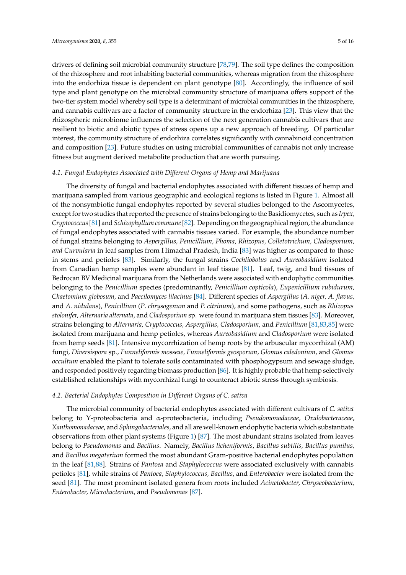drivers of defining soil microbial community structure [\[78](#page-13-0)[,79\]](#page-13-1). The soil type defines the composition of the rhizosphere and root inhabiting bacterial communities, whereas migration from the rhizosphere into the endorhiza tissue is dependent on plant genotype [\[80\]](#page-13-2). Accordingly, the influence of soil type and plant genotype on the microbial community structure of marijuana offers support of the two-tier system model whereby soil type is a determinant of microbial communities in the rhizosphere, and cannabis cultivars are a factor of community structure in the endorhiza [\[23\]](#page-10-11). This view that the rhizospheric microbiome influences the selection of the next generation cannabis cultivars that are resilient to biotic and abiotic types of stress opens up a new approach of breeding. Of particular interest, the community structure of endorhiza correlates significantly with cannabinoid concentration and composition [\[23\]](#page-10-11). Future studies on using microbial communities of cannabis not only increase fitness but augment derived metabolite production that are worth pursuing.

# *4.1. Fungal Endophytes Associated with Di*ff*erent Organs of Hemp and Marijuana*

The diversity of fungal and bacterial endophytes associated with different tissues of hemp and marijuana sampled from various geographic and ecological regions is listed in Figure [1.](#page-5-0) Almost all of the nonsymbiotic fungal endophytes reported by several studies belonged to the Ascomycetes, except for two studies that reported the presence of strains belonging to the Basidiomycetes, such as *Irpex, Cryptococcus*[\[81\]](#page-13-3) and *Schizophyllum commune*[\[82\]](#page-13-4). Depending on the geographical region, the abundance of fungal endophytes associated with cannabis tissues varied. For example, the abundance number of fungal strains belonging to *Aspergillus, Penicillium, Phoma, Rhizopus, Colletotrichum, Cladosporium, and Curvularia* in leaf samples from Himachal Pradesh, India [\[83\]](#page-13-5) was higher as compared to those in stems and petioles [\[83\]](#page-13-5). Similarly, the fungal strains *Cochliobolus* and *Aureobasidium* isolated from Canadian hemp samples were abundant in leaf tissue [\[81\]](#page-13-3). Leaf, twig, and bud tissues of Bedrocan BV Medicinal marijuana from the Netherlands were associated with endophytic communities belonging to the *Penicillium* species (predominantly, *Penicillium copticola*), *Eupenicillium rubidurum, Chaetomium globosum,* and *Paecilomyces lilacinus* [\[84\]](#page-13-6). Different species of *Aspergillus* (*A. niger, A. flavus,* and *A. nidulans*), *Penicillium* (*P*. *chrysogenum* and *P. citrinum*), and some pathogens, such as *Rhizopus stolonifer, Alternaria alternata*, and *Cladosporium* sp. were found in marijuana stem tissues [\[83\]](#page-13-5). Moreover, strains belonging to *Alternaria, Cryptococcus, Aspergillus, Cladosporium,* and *Penicillium* [\[81](#page-13-3)[,83](#page-13-5)[,85\]](#page-13-7) were isolated from marijuana and hemp petioles, whereas *Aureobasidium* and *Cladosporium* were isolated from hemp seeds [\[81\]](#page-13-3). Intensive mycorrhization of hemp roots by the arbuscular mycorrhizal (AM) fungi, *Diversispora* sp., *Funneliformis mosseae, Funneliformis geosporum*, *Glomus caledonium*, and *Glomus occultum* enabled the plant to tolerate soils contaminated with phosphogypsum and sewage sludge, and responded positively regarding biomass production [\[86\]](#page-13-8). It is highly probable that hemp selectively established relationships with mycorrhizal fungi to counteract abiotic stress through symbiosis.

## *4.2. Bacterial Endophytes Composition in Di*ff*erent Organs of C. sativa*

The microbial community of bacterial endophytes associated with different cultivars of *C. sativa* belong to Υ-proteobacteria and α-proteobacteria, including *Pseudomonadaceae*, *Oxalobacteraceae*, *Xanthomonadaceae*, and *Sphingobacteriales*, and all are well-known endophytic bacteria which substantiate observations from other plant systems (Figure [1\)](#page-5-0) [\[87\]](#page-13-9). The most abundant strains isolated from leaves belong to *Pseudomonas* and *Bacillus*. Namely, *Bacillus licheniformis*, *Bacillus subtilis, Bacillus pumilus,* and *Bacillus megaterium* formed the most abundant Gram-positive bacterial endophytes population in the leaf [\[81,](#page-13-3)[88\]](#page-13-10). Strains of *Pantoea* and *Staphylococcus* were associated exclusively with cannabis petioles [\[81\]](#page-13-3), while strains of *Pantoea*, *Staphylococcus, Bacillus*, and *Enterobacter* were isolated from the seed [\[81\]](#page-13-3). The most prominent isolated genera from roots included *Acinetobacter, Chryseobacterium, Enterobacter, Microbacterium*, and *Pseudomonas* [\[87\]](#page-13-9).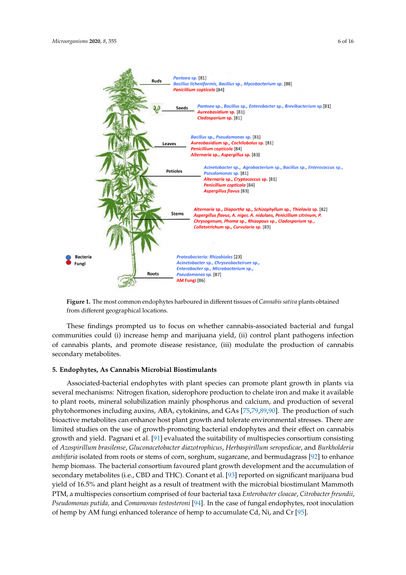<span id="page-5-0"></span>

**Figure 1.** The most common endophytes harboured in different tissues of *Cannabis sativa* plants obtained from different geographical locations.

These findings prompted us to focus on whether cannabis-associated bacterial and fungal communities could (i) increase hemp and marijuana yield, (ii) control plant pathogens infection of cannabis plants, and promote disease resistance, (iii) modulate the production of cannabis secondary metabolites.

# **5. Endophytes, As Cannabis Microbial Biostimulants**

Associated-bacterial endophytes with plant species can promote plant growth in plants via several mechanisms: Nitrogen fixation, siderophore production to chelate iron and make it available to plant roots, mineral solubilization mainly phosphorus and calcium, and production of several phytohormones including auxins, ABA, cytokinins, and GAs [\[75](#page-12-18)[,79](#page-13-1)[,89](#page-13-11)[,90\]](#page-13-12). The production of such bioactive metabolites can enhance host plant growth and tolerate environmental stresses. There are limited studies on the use of growth-promoting bacterial endophytes and their effect on cannabis growth and yield. Pagnani et al. [\[91\]](#page-13-13) evaluated the suitability of multispecies consortium consisting of *Azospirillum brasilense*, *Gluconacetobacter diazotrophicus*, *Herbaspirillum seropedicae*, and *Burkholderia ambifaria* isolated from roots or stems of corn, sorghum, sugarcane, and bermudagrass [\[92\]](#page-13-14) to enhance hemp biomass. The bacterial consortium favoured plant growth development and the accumulation of secondary metabolites (i.e., CBD and THC). Conant et al. [\[93\]](#page-13-15) reported on significant marijuana bud yield of 16.5% and plant height as a result of treatment with the microbial biostimulant Mammoth PTM, a multispecies consortium comprised of four bacterial taxa *Enterobacter cloacae*, *Citrobacter freundii*, *Pseudomonas putida,* and *Comamonas testosteroni* [\[94\]](#page-13-16). In the case of fungal endophytes, root inoculation of hemp by AM fungi enhanced tolerance of hemp to accumulate Cd, Ni, and Cr [\[95\]](#page-13-17).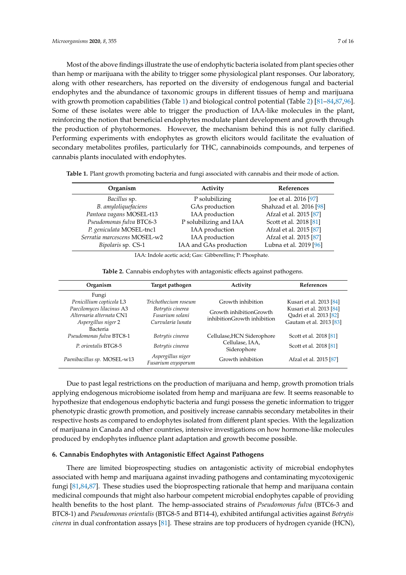Most of the above findings illustrate the use of endophytic bacteria isolated from plant species other than hemp or marijuana with the ability to trigger some physiological plant responses. Our laboratory, along with other researchers, has reported on the diversity of endogenous fungal and bacterial endophytes and the abundance of taxonomic groups in different tissues of hemp and marijuana with growth promotion capabilities (Table [1\)](#page-6-0) and biological control potential (Table [2\)](#page-6-1) [\[81–](#page-13-3)[84,](#page-13-6)[87,](#page-13-9)[96\]](#page-13-18). Some of these isolates were able to trigger the production of IAA-like molecules in the plant, reinforcing the notion that beneficial endophytes modulate plant development and growth through the production of phytohormones. However, the mechanism behind this is not fully clarified. Performing experiments with endophytes as growth elicitors would facilitate the evaluation of secondary metabolites profiles, particularly for THC, cannabinoids compounds, and terpenes of cannabis plants inoculated with endophytes.

| Organism                     | Activity               | <b>References</b>        |
|------------------------------|------------------------|--------------------------|
| Bacillus sp.                 | P solubilizing         | Joe et al. 2016 [97]     |
| B. amyloliquefaciens         | GAs production         | Shahzad et al. 2016 [98] |
| Pantoea vagans MOSEL-t13     | IAA production         | Afzal et al. 2015 [87]   |
| Pseudomonas fulva BTC6-3     | P solubilizing and IAA | Scott et al. 2018 [81]   |
| P. geniculata MOSEL-tnc1     | IAA production         | Afzal et al. 2015 [87]   |
| Serratia marcescens MOSEL-w2 | IAA production         | Afzal et al. 2015 [87]   |
| Bipolaris sp. CS-1           | IAA and GAs production | Lubna et al. 2019 [96]   |

<span id="page-6-0"></span>**Table 1.** Plant growth promoting bacteria and fungi associated with cannabis and their mode of action.

IAA: Indole acetic acid; Gas: Gibberellins; P: Phosphate.

|  | Table 2. Cannabis endophytes with antagonistic effects against pathogens |  |  |
|--|--------------------------------------------------------------------------|--|--|
|  |                                                                          |  |  |

<span id="page-6-1"></span>

| Organism                                      | Target pathogen                         | Activity                       | <b>References</b>       |  |
|-----------------------------------------------|-----------------------------------------|--------------------------------|-------------------------|--|
| Fungi                                         |                                         |                                |                         |  |
| Penicillium copticola L3                      | Trichothecium roseum                    | Growth inhibition              | Kusari et al. 2013 [84] |  |
| Paecilomyces lilacinus A3<br>Botrytis cinerea |                                         | Growth inhibitionGrowth        | Kusari et al. 2013 [84] |  |
| Alternaria alternata CN1                      | Fusarium solani                         | inhibitionGrowth inhibition    | Oadri et al. 2013 [82]  |  |
| Aspergillus niger 2                           | Curvularia lunata                       |                                | Gautam et al. 2013 [83] |  |
| Bacteria                                      |                                         |                                |                         |  |
| Pseudomonas fulva BTC8-1                      | Botrytis cinerea                        | Cellulase, HCN Siderophore     | Scott et al. 2018 [81]  |  |
| P. orientalis BTG8-5                          | Botrytis cinerea                        | Cellulase, IAA,<br>Siderophore | Scott et al. 2018 [81]  |  |
| Paenibacillus sp. MOSEL-w13                   | Aspergillus niger<br>Fusarium oxysporum | Growth inhibition              | Afzal et al. 2015 [87]  |  |

Due to past legal restrictions on the production of marijuana and hemp, growth promotion trials applying endogenous microbiome isolated from hemp and marijuana are few. It seems reasonable to hypothesize that endogenous endophytic bacteria and fungi possess the genetic information to trigger phenotypic drastic growth promotion, and positively increase cannabis secondary metabolites in their respective hosts as compared to endophytes isolated from different plant species. With the legalization of marijuana in Canada and other countries, intensive investigations on how hormone-like molecules produced by endophytes influence plant adaptation and growth become possible.

### **6. Cannabis Endophytes with Antagonistic E**ff**ect Against Pathogens**

There are limited bioprospecting studies on antagonistic activity of microbial endophytes associated with hemp and marijuana against invading pathogens and contaminating mycotoxigenic fungi [\[81](#page-13-3)[,84](#page-13-6)[,87\]](#page-13-9). These studies used the bioprospecting rationale that hemp and marijuana contain medicinal compounds that might also harbour competent microbial endophytes capable of providing health benefits to the host plant. The hemp-associated strains of *Pseudomonas fulva* (BTC6-3 and BTC8-1) and *Pseudomonas orientalis* (BTG8-5 and BT14-4), exhibited antifungal activities against *Botrytis cinerea* in dual confrontation assays [\[81\]](#page-13-3). These strains are top producers of hydrogen cyanide (HCN),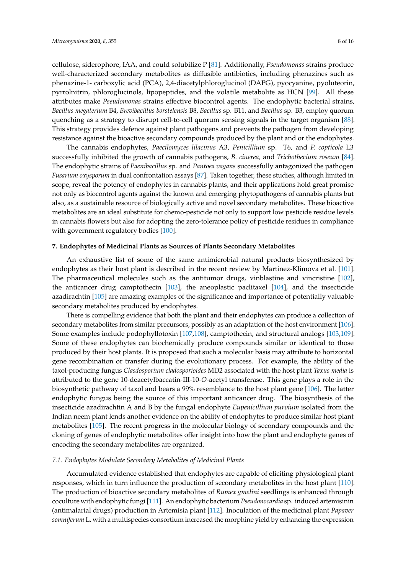cellulose, siderophore, IAA, and could solubilize P [\[81\]](#page-13-3). Additionally, *Pseudomonas* strains produce well-characterized secondary metabolites as diffusible antibiotics, including phenazines such as phenazine-1- carboxylic acid (PCA), 2,4-diacetylphloroglucinol (DAPG), pyocyanine, pyoluteorin, pyrrolnitrin, phloroglucinols, lipopeptides, and the volatile metabolite as HCN [\[99\]](#page-14-1). All these attributes make *Pseudomonas* strains effective biocontrol agents. The endophytic bacterial strains, *Bacillus megaterium* B4, *Brevibacillus borstelensis* B8, *Bacillus* sp. B11, and *Bacillus* sp. B3, employ quorum quenching as a strategy to disrupt cell-to-cell quorum sensing signals in the target organism [\[88\]](#page-13-10). This strategy provides defence against plant pathogens and prevents the pathogen from developing resistance against the bioactive secondary compounds produced by the plant and or the endophytes.

The cannabis endophytes, *Paecilomyces lilacinus* A3, *Penicillium* sp. T6, and *P. copticola* L3 successfully inhibited the growth of cannabis pathogens, *B. cinerea,* and *Trichothecium roseum* [\[84\]](#page-13-6). The endophytic strains of *Paenibacillus* sp. and *Pantoea vagans* successfully antagonized the pathogen *Fusarium oxysporum* in dual confrontation assays [\[87\]](#page-13-9). Taken together, these studies, although limited in scope, reveal the potency of endophytes in cannabis plants, and their applications hold great promise not only as biocontrol agents against the known and emerging phytopathogens of cannabis plants but also, as a sustainable resource of biologically active and novel secondary metabolites. These bioactive metabolites are an ideal substitute for chemo-pesticide not only to support low pesticide residue levels in cannabis flowers but also for adopting the zero-tolerance policy of pesticide residues in compliance with government regulatory bodies [\[100\]](#page-14-2).

#### **7. Endophytes of Medicinal Plants as Sources of Plants Secondary Metabolites**

An exhaustive list of some of the same antimicrobial natural products biosynthesized by endophytes as their host plant is described in the recent review by Martinez-Klimova et al. [\[101\]](#page-14-3). The pharmaceutical molecules such as the antitumor drugs, vinblastine and vincristine [\[102\]](#page-14-4), the anticancer drug camptothecin [\[103\]](#page-14-5), the aneoplastic paclitaxel [\[104\]](#page-14-6), and the insecticide azadirachtin [\[105\]](#page-14-7) are amazing examples of the significance and importance of potentially valuable secondary metabolites produced by endophytes.

There is compelling evidence that both the plant and their endophytes can produce a collection of secondary metabolites from similar precursors, possibly as an adaptation of the host environment [\[106\]](#page-14-8). Some examples include podophyllotoxin [\[107](#page-14-9)[,108\]](#page-14-10), camptothecin, and structural analogs [\[103,](#page-14-5)[109\]](#page-14-11). Some of these endophytes can biochemically produce compounds similar or identical to those produced by their host plants. It is proposed that such a molecular basis may attribute to horizontal gene recombination or transfer during the evolutionary process. For example, the ability of the taxol-producing fungus *Clasdosporium cladosporioides* MD2 associated with the host plant *Taxus media* is attributed to the gene 10-deacetylbaccatin-III-10-*O*-acetyl transferase. This gene plays a role in the biosynthetic pathway of taxol and bears a 99% resemblance to the host plant gene [\[106\]](#page-14-8). The latter endophytic fungus being the source of this important anticancer drug. The biosynthesis of the insecticide azadirachtin A and B by the fungal endophyte *Eupenicillium purvium* isolated from the Indian neem plant lends another evidence on the ability of endophytes to produce similar host plant metabolites [\[105\]](#page-14-7). The recent progress in the molecular biology of secondary compounds and the cloning of genes of endophytic metabolites offer insight into how the plant and endophyte genes of encoding the secondary metabolites are organized.

# *7.1. Endophytes Modulate Secondary Metabolites of Medicinal Plants*

Accumulated evidence established that endophytes are capable of eliciting physiological plant responses, which in turn influence the production of secondary metabolites in the host plant [\[110\]](#page-14-12). The production of bioactive secondary metabolites of *Rumex gmelini* seedlings is enhanced through coculture with endophytic fungi [\[111\]](#page-14-13). An endophytic bacterium *Pseudonocardia* sp. induced artemisinin (antimalarial drugs) production in Artemisia plant [\[112\]](#page-14-14). Inoculation of the medicinal plant *Papaver somniferum* L. with a multispecies consortium increased the morphine yield by enhancing the expression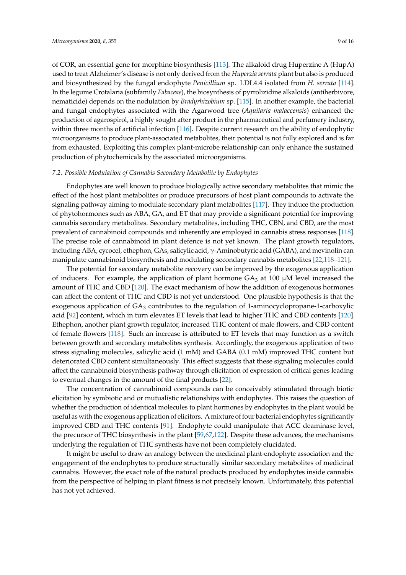of COR, an essential gene for morphine biosynthesis [\[113\]](#page-14-15). The alkaloid drug Huperzine A (HupA) used to treat Alzheimer's disease is not only derived from the *Huperzia serrata* plant but also is produced and biosynthesized by the fungal endophyte *Penicillium* sp. LDL4.4 isolated from *H. serrata* [\[114\]](#page-14-16). In the legume Crotalaria (subfamily *Fabaceae*), the biosynthesis of pyrrolizidine alkaloids (antiherbivore, nematicide) depends on the nodulation by *Bradyrhizobium* sp. [\[115\]](#page-14-17). In another example, the bacterial and fungal endophytes associated with the Agarwood tree (*Aquilaria malaccensis*) enhanced the production of agarospirol, a highly sought after product in the pharmaceutical and perfumery industry, within three months of artificial infection [\[116\]](#page-14-18). Despite current research on the ability of endophytic microorganisms to produce plant-associated metabolites, their potential is not fully explored and is far from exhausted. Exploiting this complex plant-microbe relationship can only enhance the sustained production of phytochemicals by the associated microorganisms.

# *7.2. Possible Modulation of Cannabis Secondary Metabolite by Endophytes*

Endophytes are well known to produce biologically active secondary metabolites that mimic the effect of the host plant metabolites or produce precursors of host plant compounds to activate the signaling pathway aiming to modulate secondary plant metabolites [\[117\]](#page-14-19). They induce the production of phytohormones such as ABA, GA, and ET that may provide a significant potential for improving cannabis secondary metabolites. Secondary metabolites, including THC, CBN, and CBD, are the most prevalent of cannabinoid compounds and inherently are employed in cannabis stress responses [\[118\]](#page-15-0). The precise role of cannabinoid in plant defence is not yet known. The plant growth regulators, including ABA, cycocel, ethephon, GAs, salicylic acid, γ-Aminobutyric acid (GABA), and mevinolin can manipulate cannabinoid biosynthesis and modulating secondary cannabis metabolites [\[22](#page-10-10)[,118–](#page-15-0)[121\]](#page-15-1).

The potential for secondary metabolite recovery can be improved by the exogenous application of inducers. For example, the application of plant hormone  $GA_3$  at 100  $\mu$ M level increased the amount of THC and CBD [\[120\]](#page-15-2). The exact mechanism of how the addition of exogenous hormones can affect the content of THC and CBD is not yet understood. One plausible hypothesis is that the exogenous application of  $GA_3$  contributes to the regulation of 1-aminocyclopropane-1-carboxylic acid [\[92\]](#page-13-14) content, which in turn elevates ET levels that lead to higher THC and CBD contents [\[120\]](#page-15-2). Ethephon, another plant growth regulator, increased THC content of male flowers, and CBD content of female flowers [\[118\]](#page-15-0). Such an increase is attributed to ET levels that may function as a switch between growth and secondary metabolites synthesis. Accordingly, the exogenous application of two stress signaling molecules, salicylic acid (1 mM) and GABA (0.1 mM) improved THC content but deteriorated CBD content simultaneously. This effect suggests that these signaling molecules could affect the cannabinoid biosynthesis pathway through elicitation of expression of critical genes leading to eventual changes in the amount of the final products [\[22\]](#page-10-10).

The concentration of cannabinoid compounds can be conceivably stimulated through biotic elicitation by symbiotic and or mutualistic relationships with endophytes. This raises the question of whether the production of identical molecules to plant hormones by endophytes in the plant would be useful as with the exogenous application of elicitors. A mixture of four bacterial endophytes significantly improved CBD and THC contents [\[91\]](#page-13-13). Endophyte could manipulate that ACC deaminase level, the precursor of THC biosynthesis in the plant [\[59](#page-12-2)[,67](#page-12-10)[,122\]](#page-15-3). Despite these advances, the mechanisms underlying the regulation of THC synthesis have not been completely elucidated.

It might be useful to draw an analogy between the medicinal plant-endophyte association and the engagement of the endophytes to produce structurally similar secondary metabolites of medicinal cannabis. However, the exact role of the natural products produced by endophytes inside cannabis from the perspective of helping in plant fitness is not precisely known. Unfortunately, this potential has not yet achieved.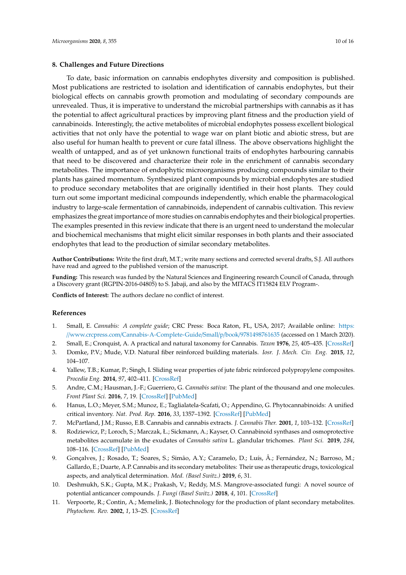### **8. Challenges and Future Directions**

To date, basic information on cannabis endophytes diversity and composition is published. Most publications are restricted to isolation and identification of cannabis endophytes, but their biological effects on cannabis growth promotion and modulating of secondary compounds are unrevealed. Thus, it is imperative to understand the microbial partnerships with cannabis as it has the potential to affect agricultural practices by improving plant fitness and the production yield of cannabinoids. Interestingly, the active metabolites of microbial endophytes possess excellent biological activities that not only have the potential to wage war on plant biotic and abiotic stress, but are also useful for human health to prevent or cure fatal illness. The above observations highlight the wealth of untapped, and as of yet unknown functional traits of endophytes harbouring cannabis that need to be discovered and characterize their role in the enrichment of cannabis secondary metabolites. The importance of endophytic microorganisms producing compounds similar to their plants has gained momentum. Synthesized plant compounds by microbial endophytes are studied to produce secondary metabolites that are originally identified in their host plants. They could turn out some important medicinal compounds independently, which enable the pharmacological industry to large-scale fermentation of cannabinoids, independent of cannabis cultivation. This review emphasizes the great importance of more studies on cannabis endophytes and their biological properties. The examples presented in this review indicate that there is an urgent need to understand the molecular and biochemical mechanisms that might elicit similar responses in both plants and their associated endophytes that lead to the production of similar secondary metabolites.

**Author Contributions:** Write the first draft, M.T.; write many sections and corrected several drafts, S.J. All authors have read and agreed to the published version of the manuscript.

**Funding:** This research was funded by the Natural Sciences and Engineering research Council of Canada, through a Discovery grant (RGPIN-2016-04805) to S. Jabaji, and also by the MITACS IT15824 ELV Program-.

**Conflicts of Interest:** The authors declare no conflict of interest.

### **References**

- <span id="page-9-0"></span>1. Small, E. *Cannabis: A complete guide*; CRC Press: Boca Raton, FL, USA, 2017; Available online: [https:](https://www.crcpress.com/Cannabis-A-Complete-Guide/Small/p/book/9781498761635) //www.crcpress.com/[Cannabis-A-Complete-Guide](https://www.crcpress.com/Cannabis-A-Complete-Guide/Small/p/book/9781498761635)/Small/p/book/9781498761635 (accessed on 1 March 2020).
- <span id="page-9-1"></span>2. Small, E.; Cronquist, A. A practical and natural taxonomy for Cannabis. *Taxon* **1976**, *25*, 405–435. [\[CrossRef\]](http://dx.doi.org/10.2307/1220524)
- <span id="page-9-2"></span>3. Domke, P.V.; Mude, V.D. Natural fiber reinforced building materials. *Iosr. J. Mech. Civ. Eng.* **2015**, *12*, 104–107.
- <span id="page-9-3"></span>4. Yallew, T.B.; Kumar, P.; Singh, I. Sliding wear properties of jute fabric reinforced polypropylene composites. *Procedia Eng.* **2014**, *97*, 402–411. [\[CrossRef\]](http://dx.doi.org/10.1016/j.proeng.2014.12.264)
- <span id="page-9-4"></span>5. Andre, C.M.; Hausman, J.-F.; Guerriero, G. *Cannabis sativa*: The plant of the thousand and one molecules. *Front Plant Sci.* **2016**, *7*, 19. [\[CrossRef\]](http://dx.doi.org/10.3389/fpls.2016.00019) [\[PubMed\]](http://www.ncbi.nlm.nih.gov/pubmed/26870049)
- <span id="page-9-5"></span>6. Hanus, L.O.; Meyer, S.M.; Munoz, E.; Taglialatela-Scafati, O.; Appendino, G. Phytocannabinoids: A unified critical inventory. *Nat. Prod. Rep.* **2016**, *33*, 1357–1392. [\[CrossRef\]](http://dx.doi.org/10.1039/C6NP00074F) [\[PubMed\]](http://www.ncbi.nlm.nih.gov/pubmed/27722705)
- <span id="page-9-7"></span><span id="page-9-6"></span>7. McPartland, J.M.; Russo, E.B. Cannabis and cannabis extracts. *J. Cannabis Ther.* **2001**, *1*, 103–132. [\[CrossRef\]](http://dx.doi.org/10.1300/J175v01n03_08)
- 8. Rodziewicz, P.; Loroch, S.; Marczak, Ł.; Sickmann, A.; Kayser, O. Cannabinoid synthases and osmoprotective metabolites accumulate in the exudates of *Cannabis sativa* L. glandular trichomes. *Plant Sci.* **2019**, *284*, 108–116. [\[CrossRef\]](http://dx.doi.org/10.1016/j.plantsci.2019.04.008) [\[PubMed\]](http://www.ncbi.nlm.nih.gov/pubmed/31084863)
- <span id="page-9-8"></span>9. Gonçalves, J.; Rosado, T.; Soares, S.; Simão, A.Y.; Caramelo, D.; Luís, Â.; Fernández, N.; Barroso, M.; Gallardo, E.; Duarte, A.P. Cannabis and its secondary metabolites: Their use as therapeutic drugs, toxicological aspects, and analytical determination. *Med. (Basel Switz.)* **2019**, *6*, 31.
- <span id="page-9-9"></span>10. Deshmukh, S.K.; Gupta, M.K.; Prakash, V.; Reddy, M.S. Mangrove-associated fungi: A novel source of potential anticancer compounds. *J. Fungi (Basel Switz.)* **2018**, *4*, 101. [\[CrossRef\]](http://dx.doi.org/10.3390/jof4030101)
- <span id="page-9-10"></span>11. Verpoorte, R.; Contin, A.; Memelink, J. Biotechnology for the production of plant secondary metabolites. *Phytochem. Rev.* **2002**, *1*, 13–25. [\[CrossRef\]](http://dx.doi.org/10.1023/A:1015871916833)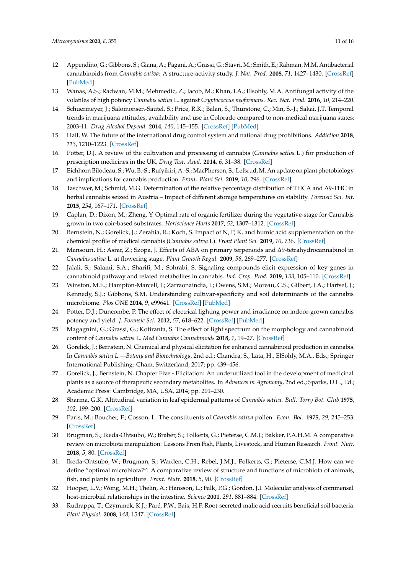- <span id="page-10-0"></span>12. Appendino, G.; Gibbons, S.; Giana, A.; Pagani, A.; Grassi, G.; Stavri, M.; Smith, E.; Rahman, M.M. Antibacterial cannabinoids from *Cannabis sativa*: A structure-activity study. *J. Nat. Prod.* **2008**, *71*, 1427–1430. [\[CrossRef\]](http://dx.doi.org/10.1021/np8002673) [\[PubMed\]](http://www.ncbi.nlm.nih.gov/pubmed/18681481)
- <span id="page-10-1"></span>13. Wanas, A.S.; Radwan, M.M.; Mehmedic, Z.; Jacob, M.; Khan, I.A.; Elsohly, M.A. Antifungal activity of the volatiles of high potency *Cannabis sativa* L. against *Cryptococcus neoformans*. *Rec. Nat. Prod.* **2016**, *10*, 214–220.
- <span id="page-10-2"></span>14. Schuermeyer, J.; Salomonsen-Sautel, S.; Price, R.K.; Balan, S.; Thurstone, C.; Min, S.-J.; Sakai, J.T. Temporal trends in marijuana attitudes, availability and use in Colorado compared to non-medical marijuana states: 2003-11. *Drug Alcohol Depend.* **2014**, *140*, 145–155. [\[CrossRef\]](http://dx.doi.org/10.1016/j.drugalcdep.2014.04.016) [\[PubMed\]](http://www.ncbi.nlm.nih.gov/pubmed/24837585)
- <span id="page-10-3"></span>15. Hall, W. The future of the international drug control system and national drug prohibitions. *Addiction* **2018**, *113*, 1210–1223. [\[CrossRef\]](http://dx.doi.org/10.1111/add.13941)
- <span id="page-10-4"></span>16. Potter, D.J. A review of the cultivation and processing of cannabis (*Cannabis sativa* L.) for production of prescription medicines in the UK. *Drug Test. Anal.* **2014**, *6*, 31–38. [\[CrossRef\]](http://dx.doi.org/10.1002/dta.1531)
- <span id="page-10-5"></span>17. Eichhorn Bilodeau, S.; Wu, B.-S.; Rufyikiri, A.-S.; MacPherson, S.; Lefsrud, M. An update on plant photobiology and implications for cannabis production. *Front. Plant Sci.* **2019**, *10*, 296. [\[CrossRef\]](http://dx.doi.org/10.3389/fpls.2019.00296)
- <span id="page-10-6"></span>18. Taschwer, M.; Schmid, M.G. Determination of the relative percentage distribution of THCA and ∆9-THC in herbal cannabis seized in Austria – Impact of different storage temperatures on stability. *Forensic Sci. Int.* **2015**, *254*, 167–171. [\[CrossRef\]](http://dx.doi.org/10.1016/j.forsciint.2015.07.019)
- <span id="page-10-7"></span>19. Caplan, D.; Dixon, M.; Zheng, Y. Optimal rate of organic fertilizer during the vegetative-stage for Cannabis grown in two coir-based substrates. *Hortscience Horts* **2017**, *52*, 1307–1312. [\[CrossRef\]](http://dx.doi.org/10.21273/HORTSCI11903-17)
- <span id="page-10-8"></span>20. Bernstein, N.; Gorelick, J.; Zerahia, R.; Koch, S. Impact of N, P, K, and humic acid supplementation on the chemical profile of medical cannabis (*Cannabis sativa* L). *Front Plant Sci.* **2019**, *10*, 736. [\[CrossRef\]](http://dx.doi.org/10.3389/fpls.2019.00736)
- <span id="page-10-9"></span>21. Mansouri, H.; Asrar, Z.; Szopa, J. Effects of ABA on primary terpenoids and ∆9-tetrahydrocannabinol in *Cannabis sativa* L. at flowering stage. *Plant Growth Regul.* **2009**, *58*, 269–277. [\[CrossRef\]](http://dx.doi.org/10.1007/s10725-009-9375-y)
- <span id="page-10-10"></span>22. Jalali, S.; Salami, S.A.; Sharifi, M.; Sohrabi, S. Signaling compounds elicit expression of key genes in cannabinoid pathway and related metabolites in cannabis. *Ind. Crop. Prod.* **2019**, *133*, 105–110. [\[CrossRef\]](http://dx.doi.org/10.1016/j.indcrop.2019.03.004)
- <span id="page-10-11"></span>23. Winston, M.E.; Hampton-Marcell, J.; Zarraonaindia, I.; Owens, S.M.; Moreau, C.S.; Gilbert, J.A.; Hartsel, J.; Kennedy, S.J.; Gibbons, S.M. Understanding cultivar-specificity and soil determinants of the cannabis microbiome. *Plos ONE* **2014**, *9*, e99641. [\[CrossRef\]](http://dx.doi.org/10.1371/journal.pone.0099641) [\[PubMed\]](http://www.ncbi.nlm.nih.gov/pubmed/24932479)
- <span id="page-10-12"></span>24. Potter, D.J.; Duncombe, P. The effect of electrical lighting power and irradiance on indoor-grown cannabis potency and yield. *J. Forensic Sci.* **2012**, *57*, 618–622. [\[CrossRef\]](http://dx.doi.org/10.1111/j.1556-4029.2011.02024.x) [\[PubMed\]](http://www.ncbi.nlm.nih.gov/pubmed/22211717)
- <span id="page-10-13"></span>25. Magagnini, G.; Grassi, G.; Kotiranta, S. The effect of light spectrum on the morphology and cannabinoid content of *Cannabis sativa* L. *Med Cannabis Cannabinoids* **2018**, *1*, 19–27. [\[CrossRef\]](http://dx.doi.org/10.1159/000489030)
- <span id="page-10-14"></span>26. Gorelick, J.; Bernstein, N. Chemical and physical elicitation for enhanced cannabinoid production in cannabis. In *Cannabis sativa L.—Botany and Biotechnology*, 2nd ed.; Chandra, S., Lata, H., ElSohly, M.A., Eds.; Springer International Publishing: Cham, Switzerland, 2017; pp. 439–456.
- <span id="page-10-15"></span>27. Gorelick, J.; Bernstein, N. Chapter Five - Elicitation: An underutilized tool in the development of medicinal plants as a source of therapeutic secondary metabolites. In *Advances in Agronomy*, 2nd ed.; Sparks, D.L., Ed.; Academic Press: Cambridge, MA, USA, 2014; pp. 201–230.
- <span id="page-10-16"></span>28. Sharma, G.K. Altitudinal variation in leaf epidermal patterns of *Cannabis sativa*. *Bull. Torry Bot. Club* **1975**, *102*, 199–200. [\[CrossRef\]](http://dx.doi.org/10.2307/2484942)
- <span id="page-10-17"></span>29. Paris, M.; Boucher, F.; Cosson, L. The constituents of *Cannabis sativa* pollen. *Econ. Bot.* **1975**, *29*, 245–253. [\[CrossRef\]](http://dx.doi.org/10.1007/BF02873173)
- <span id="page-10-18"></span>30. Brugman, S.; Ikeda-Ohtsubo, W.; Braber, S.; Folkerts, G.; Pieterse, C.M.J.; Bakker, P.A.H.M. A comparative review on microbiota manipulation: Lessons From Fish, Plants, Livestock, and Human Research. *Front. Nutr.* **2018**, *5*, 80. [\[CrossRef\]](http://dx.doi.org/10.3389/fnut.2018.00080)
- <span id="page-10-19"></span>31. Ikeda-Ohtsubo, W.; Brugman, S.; Warden, C.H.; Rebel, J.M.J.; Folkerts, G.; Pieterse, C.M.J. How can we define "optimal microbiota?": A comparative review of structure and functions of microbiota of animals, fish, and plants in agriculture. *Front. Nutr.* **2018**, *5*, 90. [\[CrossRef\]](http://dx.doi.org/10.3389/fnut.2018.00090)
- <span id="page-10-20"></span>32. Hooper, L.V.; Wong, M.H.; Thelin, A.; Hansson, L.; Falk, P.G.; Gordon, J.I. Molecular analysis of commensal host-microbial relationships in the intestine. *Science* **2001**, *291*, 881–884. [\[CrossRef\]](http://dx.doi.org/10.1126/science.291.5505.881)
- <span id="page-10-21"></span>33. Rudrappa, T.; Czymmek, K.J.; Paré, P.W.; Bais, H.P. Root-secreted malic acid recruits beneficial soil bacteria. *Plant Physiol.* **2008**, *148*, 1547. [\[CrossRef\]](http://dx.doi.org/10.1104/pp.108.127613)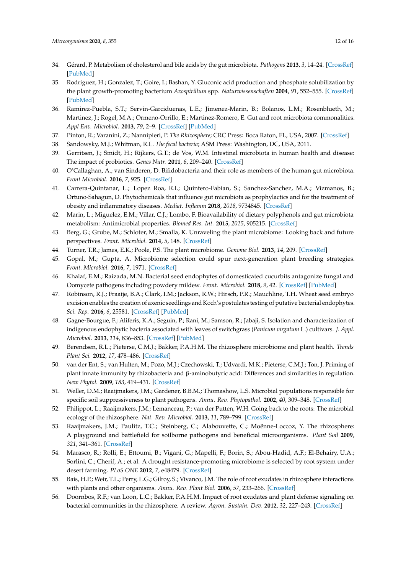- <span id="page-11-0"></span>34. Gérard, P. Metabolism of cholesterol and bile acids by the gut microbiota. *Pathogens* **2013**, *3*, 14–24. [\[CrossRef\]](http://dx.doi.org/10.3390/pathogens3010014) [\[PubMed\]](http://www.ncbi.nlm.nih.gov/pubmed/25437605)
- <span id="page-11-1"></span>35. Rodriguez, H.; Gonzalez, T.; Goire, I.; Bashan, Y. Gluconic acid production and phosphate solubilization by the plant growth-promoting bacterium *Azospirillum* spp. *Naturwissenschaften* **2004**, *91*, 552–555. [\[CrossRef\]](http://dx.doi.org/10.1007/s00114-004-0566-0) [\[PubMed\]](http://www.ncbi.nlm.nih.gov/pubmed/15502903)
- <span id="page-11-2"></span>36. Ramirez-Puebla, S.T.; Servin-Garciduenas, L.E.; Jimenez-Marin, B.; Bolanos, L.M.; Rosenblueth, M.; Martinez, J.; Rogel, M.A.; Ormeno-Orrillo, E.; Martinez-Romero, E. Gut and root microbiota commonalities. *Appl Env. Microbiol.* **2013**, *79*, 2–9. [\[CrossRef\]](http://dx.doi.org/10.1128/AEM.02553-12) [\[PubMed\]](http://www.ncbi.nlm.nih.gov/pubmed/23104406)
- <span id="page-11-3"></span>37. Pinton, R.; Varanini, Z.; Nannipieri, P. *The Rhizosphere*; CRC Press: Boca Raton, FL, USA, 2007. [\[CrossRef\]](http://dx.doi.org/10.1201/9781420005585)
- <span id="page-11-4"></span>38. Sandowsky, M.J.; Whitman, R.L. *The fecal bacteria*; ASM Press: Washington, DC, USA, 2011.
- <span id="page-11-5"></span>39. Gerritsen, J.; Smidt, H.; Rijkers, G.T.; de Vos, W.M. Intestinal microbiota in human health and disease: The impact of probiotics. *Genes Nutr.* **2011**, *6*, 209–240. [\[CrossRef\]](http://dx.doi.org/10.1007/s12263-011-0229-7)
- <span id="page-11-6"></span>40. O'Callaghan, A.; van Sinderen, D. Bifidobacteria and their role as members of the human gut microbiota. *Front Microbiol.* **2016**, *7*, 925. [\[CrossRef\]](http://dx.doi.org/10.3389/fmicb.2016.00925)
- <span id="page-11-7"></span>41. Carrera-Quintanar, L.; Lopez Roa, R.I.; Quintero-Fabian, S.; Sanchez-Sanchez, M.A.; Vizmanos, B.; Ortuno-Sahagun, D. Phytochemicals that influence gut microbiota as prophylactics and for the treatment of obesity and inflammatory diseases. *Mediat. Inflamm* **2018**, *2018*, 9734845. [\[CrossRef\]](http://dx.doi.org/10.1155/2018/9734845)
- <span id="page-11-8"></span>42. Marin, L.; Miguelez, E.M.; Villar, C.J.; Lombo, F. Bioavailability of dietary polyphenols and gut microbiota metabolism: Antimicrobial properties. *Biomed Res. Int.* **2015**, *2015*, 905215. [\[CrossRef\]](http://dx.doi.org/10.1155/2015/905215)
- <span id="page-11-9"></span>43. Berg, G.; Grube, M.; Schloter, M.; Smalla, K. Unraveling the plant microbiome: Looking back and future perspectives. *Front. Microbiol.* **2014**, *5*, 148. [\[CrossRef\]](http://dx.doi.org/10.3389/fmicb.2014.00148)
- <span id="page-11-10"></span>44. Turner, T.R.; James, E.K.; Poole, P.S. The plant microbiome. *Genome Biol.* **2013**, *14*, 209. [\[CrossRef\]](http://dx.doi.org/10.1186/gb-2013-14-6-209)
- <span id="page-11-11"></span>45. Gopal, M.; Gupta, A. Microbiome selection could spur next-generation plant breeding strategies. *Front. Microbiol.* **2016**, *7*, 1971. [\[CrossRef\]](http://dx.doi.org/10.3389/fmicb.2016.01971)
- <span id="page-11-12"></span>46. Khalaf, E.M.; Raizada, M.N. Bacterial seed endophytes of domesticated cucurbits antagonize fungal and Oomycete pathogens including powdery mildew. *Front. Microbiol.* **2018**, *9*, 42. [\[CrossRef\]](http://dx.doi.org/10.3389/fmicb.2018.00042) [\[PubMed\]](http://www.ncbi.nlm.nih.gov/pubmed/29459850)
- <span id="page-11-13"></span>47. Robinson, R.J.; Fraaije, B.A.; Clark, I.M.; Jackson, R.W.; Hirsch, P.R.; Mauchline, T.H. Wheat seed embryo excision enables the creation of axenic seedlings and Koch's postulates testing of putative bacterial endophytes. *Sci. Rep.* **2016**, *6*, 25581. [\[CrossRef\]](http://dx.doi.org/10.1038/srep25581) [\[PubMed\]](http://www.ncbi.nlm.nih.gov/pubmed/27151146)
- <span id="page-11-14"></span>48. Gagne-Bourgue, F.; Aliferis, K.A.; Seguin, P.; Rani, M.; Samson, R.; Jabaji, S. Isolation and characterization of indigenous endophytic bacteria associated with leaves of switchgrass (*Panicum virgatum* L.) cultivars. *J. Appl. Microbiol.* **2013**, *114*, 836–853. [\[CrossRef\]](http://dx.doi.org/10.1111/jam.12088) [\[PubMed\]](http://www.ncbi.nlm.nih.gov/pubmed/23190162)
- <span id="page-11-15"></span>49. Berendsen, R.L.; Pieterse, C.M.J.; Bakker, P.A.H.M. The rhizosphere microbiome and plant health. *Trends Plant Sci.* **2012**, *17*, 478–486. [\[CrossRef\]](http://dx.doi.org/10.1016/j.tplants.2012.04.001)
- <span id="page-11-16"></span>50. van der Ent, S.; van Hulten, M.; Pozo, M.J.; Czechowski, T.; Udvardi, M.K.; Pieterse, C.M.J.; Ton, J. Priming of plant innate immunity by rhizobacteria and β-aminobutyric acid: Differences and similarities in regulation. *New Phytol.* **2009**, *183*, 419–431. [\[CrossRef\]](http://dx.doi.org/10.1111/j.1469-8137.2009.02851.x)
- <span id="page-11-17"></span>51. Weller, D.M.; Raaijmakers, J.M.; Gardener, B.B.M.; Thomashow, L.S. Microbial populations responsible for specific soil suppressiveness to plant pathogens. *Annu. Rev. Phytopathol.* **2002**, *40*, 309–348. [\[CrossRef\]](http://dx.doi.org/10.1146/annurev.phyto.40.030402.110010)
- <span id="page-11-18"></span>52. Philippot, L.; Raaijmakers, J.M.; Lemanceau, P.; van der Putten, W.H. Going back to the roots: The microbial ecology of the rhizosphere. *Nat. Rev. Microbiol.* **2013**, *11*, 789–799. [\[CrossRef\]](http://dx.doi.org/10.1038/nrmicro3109)
- <span id="page-11-19"></span>53. Raaijmakers, J.M.; Paulitz, T.C.; Steinberg, C.; Alabouvette, C.; Moënne-Loccoz, Y. The rhizosphere: A playground and battlefield for soilborne pathogens and beneficial microorganisms. *Plant Soil* **2009**, *321*, 341–361. [\[CrossRef\]](http://dx.doi.org/10.1007/s11104-008-9568-6)
- <span id="page-11-20"></span>54. Marasco, R.; Rolli, E.; Ettoumi, B.; Vigani, G.; Mapelli, F.; Borin, S.; Abou-Hadid, A.F.; El-Behairy, U.A.; Sorlini, C.; Cherif, A.; et al. A drought resistance-promoting microbiome is selected by root system under desert farming. *PLoS ONE* **2012**, *7*, e48479. [\[CrossRef\]](http://dx.doi.org/10.1371/journal.pone.0048479)
- <span id="page-11-21"></span>55. Bais, H.P.; Weir, T.L.; Perry, L.G.; Gilroy, S.; Vivanco, J.M. The role of root exudates in rhizosphere interactions with plants and other organisms. *Annu. Rev. Plant Biol.* **2006**, *57*, 233–266. [\[CrossRef\]](http://dx.doi.org/10.1146/annurev.arplant.57.032905.105159)
- <span id="page-11-22"></span>56. Doornbos, R.F.; van Loon, L.C.; Bakker, P.A.H.M. Impact of root exudates and plant defense signaling on bacterial communities in the rhizosphere. A review. *Agron. Sustain. Dev.* **2012**, *32*, 227–243. [\[CrossRef\]](http://dx.doi.org/10.1007/s13593-011-0028-y)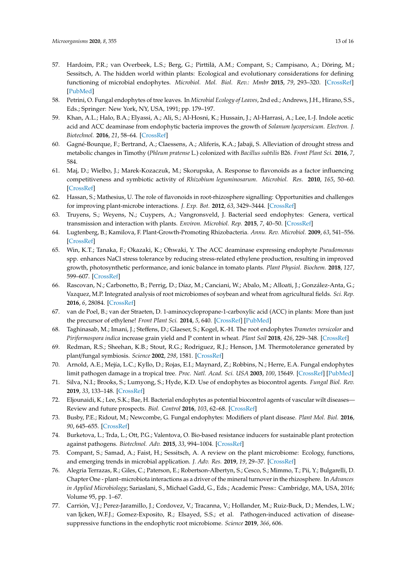- <span id="page-12-0"></span>57. Hardoim, P.R.; van Overbeek, L.S.; Berg, G.; Pirttilä, A.M.; Compant, S.; Campisano, A.; Döring, M.; Sessitsch, A. The hidden world within plants: Ecological and evolutionary considerations for defining functioning of microbial endophytes. *Microbiol. Mol. Biol. Rev.: Mmbr* **2015**, *79*, 293–320. [\[CrossRef\]](http://dx.doi.org/10.1128/MMBR.00050-14) [\[PubMed\]](http://www.ncbi.nlm.nih.gov/pubmed/26136581)
- <span id="page-12-1"></span>58. Petrini, O. Fungal endophytes of tree leaves. In *Microbial Ecology of Leaves*, 2nd ed.; Andrews, J.H., Hirano, S.S., Eds.; Springer: New York, NY, USA, 1991; pp. 179–197.
- <span id="page-12-2"></span>59. Khan, A.L.; Halo, B.A.; Elyassi, A.; Ali, S.; Al-Hosni, K.; Hussain, J.; Al-Harrasi, A.; Lee, I.-J. Indole acetic acid and ACC deaminase from endophytic bacteria improves the growth of *Solanum lycopersicum*. *Electron. J. Biotechnol.* **2016**, *21*, 58–64. [\[CrossRef\]](http://dx.doi.org/10.1016/j.ejbt.2016.02.001)
- <span id="page-12-3"></span>60. Gagné-Bourque, F.; Bertrand, A.; Claessens, A.; Aliferis, K.A.; Jabaji, S. Alleviation of drought stress and metabolic changes in Timothy (*Phleum pratense* L.) colonized with *Bacillus subtilis* B26. *Front Plant Sci.* **2016**, *7*, 584.
- <span id="page-12-4"></span>61. Maj, D.; Wielbo, J.; Marek-Kozaczuk, M.; Skorupska, A. Response to flavonoids as a factor influencing competitiveness and symbiotic activity of *Rhizobium leguminosarum*. *Microbiol. Res.* **2010**, *165*, 50–60. [\[CrossRef\]](http://dx.doi.org/10.1016/j.micres.2008.06.002)
- <span id="page-12-5"></span>62. Hassan, S.; Mathesius, U. The role of flavonoids in root-rhizosphere signalling: Opportunities and challenges for improving plant-microbe interactions. *J. Exp. Bot.* **2012**, *63*, 3429–3444. [\[CrossRef\]](http://dx.doi.org/10.1093/jxb/err430)
- <span id="page-12-6"></span>63. Truyens, S.; Weyens, N.; Cuypers, A.; Vangronsveld, J. Bacterial seed endophytes: Genera, vertical transmission and interaction with plants. *Environ. Microbiol. Rep.* **2015**, *7*, 40–50. [\[CrossRef\]](http://dx.doi.org/10.1111/1758-2229.12181)
- <span id="page-12-7"></span>64. Lugtenberg, B.; Kamilova, F. Plant-Growth-Promoting Rhizobacteria. *Annu. Rev. Microbiol.* **2009**, *63*, 541–556. [\[CrossRef\]](http://dx.doi.org/10.1146/annurev.micro.62.081307.162918)
- <span id="page-12-8"></span>65. Win, K.T.; Tanaka, F.; Okazaki, K.; Ohwaki, Y. The ACC deaminase expressing endophyte *Pseudomonas* spp. enhances NaCl stress tolerance by reducing stress-related ethylene production, resulting in improved growth, photosynthetic performance, and ionic balance in tomato plants. *Plant Physiol. Biochem.* **2018**, *127*, 599–607. [\[CrossRef\]](http://dx.doi.org/10.1016/j.plaphy.2018.04.038)
- <span id="page-12-9"></span>66. Rascovan, N.; Carbonetto, B.; Perrig, D.; Díaz, M.; Canciani, W.; Abalo, M.; Alloati, J.; González-Anta, G.; Vazquez, M.P. Integrated analysis of root microbiomes of soybean and wheat from agricultural fields. *Sci. Rep.* **2016**, *6*, 28084. [\[CrossRef\]](http://dx.doi.org/10.1038/srep28084)
- <span id="page-12-10"></span>67. van de Poel, B.; van der Straeten, D. 1-aminocyclopropane-1-carboxylic acid (ACC) in plants: More than just the precursor of ethylene! *Front Plant Sci.* **2014**, *5*, 640. [\[CrossRef\]](http://dx.doi.org/10.3389/fpls.2014.00640) [\[PubMed\]](http://www.ncbi.nlm.nih.gov/pubmed/25426135)
- <span id="page-12-11"></span>68. Taghinasab, M.; Imani, J.; Steffens, D.; Glaeser, S.; Kogel, K.-H. The root endophytes *Trametes versicolor* and *Piriformospora indica* increase grain yield and P content in wheat. *Plant Soil* **2018**, *426*, 229–348. [\[CrossRef\]](http://dx.doi.org/10.1007/s11104-018-3624-7)
- <span id="page-12-12"></span>69. Redman, R.S.; Sheehan, K.B.; Stout, R.G.; Rodriguez, R.J.; Henson, J.M. Thermotolerance generated by plant/fungal symbiosis. *Science* **2002**, *298*, 1581. [\[CrossRef\]](http://dx.doi.org/10.1126/science.1072191)
- <span id="page-12-13"></span>70. Arnold, A.E.; Mejía, L.C.; Kyllo, D.; Rojas, E.I.; Maynard, Z.; Robbins, N.; Herre, E.A. Fungal endophytes limit pathogen damage in a tropical tree. *Proc. Natl. Acad. Sci. USA* **2003**, *100*, 15649. [\[CrossRef\]](http://dx.doi.org/10.1073/pnas.2533483100) [\[PubMed\]](http://www.ncbi.nlm.nih.gov/pubmed/14671327)
- <span id="page-12-14"></span>71. Silva, N.I.; Brooks, S.; Lumyong, S.; Hyde, K.D. Use of endophytes as biocontrol agents. *Fungal Biol. Rev.* **2019**, *33*, 133–148. [\[CrossRef\]](http://dx.doi.org/10.1016/j.fbr.2018.10.001)
- <span id="page-12-15"></span>72. Eljounaidi, K.; Lee, S.K.; Bae, H. Bacterial endophytes as potential biocontrol agents of vascular wilt diseases— Review and future prospects. *Biol. Control* **2016**, *103*, 62–68. [\[CrossRef\]](http://dx.doi.org/10.1016/j.biocontrol.2016.07.013)
- <span id="page-12-16"></span>73. Busby, P.E.; Ridout, M.; Newcombe, G. Fungal endophytes: Modifiers of plant disease. *Plant Mol. Biol.* **2016**, *90*, 645–655. [\[CrossRef\]](http://dx.doi.org/10.1007/s11103-015-0412-0)
- <span id="page-12-17"></span>74. Burketova, L.; Trda, L.; Ott, P.G.; Valentova, O. Bio-based resistance inducers for sustainable plant protection against pathogens. *Biotechnol. Adv.* **2015**, *33*, 994–1004. [\[CrossRef\]](http://dx.doi.org/10.1016/j.biotechadv.2015.01.004)
- <span id="page-12-18"></span>75. Compant, S.; Samad, A.; Faist, H.; Sessitsch, A. A review on the plant microbiome: Ecology, functions, and emerging trends in microbial application. *J. Adv. Res.* **2019**, *19*, 29–37. [\[CrossRef\]](http://dx.doi.org/10.1016/j.jare.2019.03.004)
- <span id="page-12-19"></span>76. Alegria Terrazas, R.; Giles, C.; Paterson, E.; Robertson-Albertyn, S.; Cesco, S.; Mimmo, T.; Pii, Y.; Bulgarelli, D. Chapter One - plant–microbiota interactions as a driver of the mineral turnover in the rhizosphere. In *Advances in Applied Microbiology*; Sariaslani, S., Michael Gadd, G., Eds.; Academic Press:: Cambridge, MA, USA, 2016; Volume 95, pp. 1–67.
- <span id="page-12-20"></span>77. Carrión, V.J.; Perez-Jaramillo, J.; Cordovez, V.; Tracanna, V.; Hollander, M.; Ruiz-Buck, D.; Mendes, L.W.; van Ijcken, W.F.J.; Gomez-Exposito, R.; Elsayed, S.S.; et al. Pathogen-induced activation of diseasesuppressive functions in the endophytic root microbiome. *Science* **2019**, *366*, 606.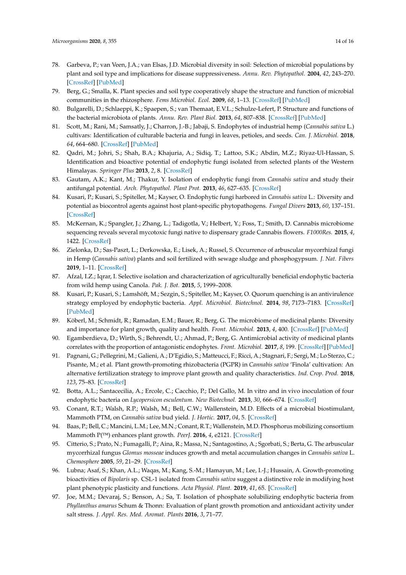- <span id="page-13-0"></span>78. Garbeva, P.; van Veen, J.A.; van Elsas, J.D. Microbial diversity in soil: Selection of microbial populations by plant and soil type and implications for disease suppressiveness. *Annu. Rev. Phytopathol.* **2004**, *42*, 243–270. [\[CrossRef\]](http://dx.doi.org/10.1146/annurev.phyto.42.012604.135455) [\[PubMed\]](http://www.ncbi.nlm.nih.gov/pubmed/15283667)
- <span id="page-13-1"></span>79. Berg, G.; Smalla, K. Plant species and soil type cooperatively shape the structure and function of microbial communities in the rhizosphere. *Fems Microbiol. Ecol.* **2009**, *68*, 1–13. [\[CrossRef\]](http://dx.doi.org/10.1111/j.1574-6941.2009.00654.x) [\[PubMed\]](http://www.ncbi.nlm.nih.gov/pubmed/19243436)
- <span id="page-13-2"></span>80. Bulgarelli, D.; Schlaeppi, K.; Spaepen, S.; van Themaat, E.V.L.; Schulze-Lefert, P. Structure and functions of the bacterial microbiota of plants. *Annu. Rev. Plant Biol.* **2013**, *64*, 807–838. [\[CrossRef\]](http://dx.doi.org/10.1146/annurev-arplant-050312-120106) [\[PubMed\]](http://www.ncbi.nlm.nih.gov/pubmed/23373698)
- <span id="page-13-3"></span>81. Scott, M.; Rani, M.; Samsatly, J.; Charron, J.-B.; Jabaji, S. Endophytes of industrial hemp (*Cannabis sativa* L.) cultivars: Identification of culturable bacteria and fungi in leaves, petioles, and seeds. *Can. J. Microbiol.* **2018**, *64*, 664–680. [\[CrossRef\]](http://dx.doi.org/10.1139/cjm-2018-0108) [\[PubMed\]](http://www.ncbi.nlm.nih.gov/pubmed/29911410)
- <span id="page-13-4"></span>82. Qadri, M.; Johri, S.; Shah, B.A.; Khajuria, A.; Sidiq, T.; Lattoo, S.K.; Abdin, M.Z.; Riyaz-Ul-Hassan, S. Identification and bioactive potential of endophytic fungi isolated from selected plants of the Western Himalayas. *Springer Plus* **2013**, *2*, 8. [\[CrossRef\]](http://dx.doi.org/10.1186/2193-1801-2-8)
- <span id="page-13-5"></span>83. Gautam, A.K.; Kant, M.; Thakur, Y. Isolation of endophytic fungi from *Cannabis sativa* and study their antifungal potential. *Arch. Phytopathol. Plant Prot.* **2013**, *46*, 627–635. [\[CrossRef\]](http://dx.doi.org/10.1080/03235408.2012.749696)
- <span id="page-13-6"></span>84. Kusari, P.; Kusari, S.; Spiteller, M.; Kayser, O. Endophytic fungi harbored in *Cannabis sativa* L.: Diversity and potential as biocontrol agents against host plant-specific phytopathogens. *Fungal Divers* **2013**, *60*, 137–151. [\[CrossRef\]](http://dx.doi.org/10.1007/s13225-012-0216-3)
- <span id="page-13-7"></span>85. McKernan, K.; Spangler, J.; Zhang, L.; Tadigotla, V.; Helbert, Y.; Foss, T.; Smith, D. Cannabis microbiome sequencing reveals several mycotoxic fungi native to dispensary grade Cannabis flowers. *F1000Res.* **2015**, *4*, 1422. [\[CrossRef\]](http://dx.doi.org/10.12688/f1000research.7507.1)
- <span id="page-13-8"></span>86. Zielonka, D.; Sas-Paszt, L.; Derkowska, E.; Lisek, A.; Russel, S. Occurrence of arbuscular mycorrhizal fungi in Hemp (*Cannabis sativa*) plants and soil fertilized with sewage sludge and phosphogypsum. *J. Nat. Fibers* **2019**, 1–11. [\[CrossRef\]](http://dx.doi.org/10.1080/15440478.2019.1618779)
- <span id="page-13-9"></span>87. Afzal, I.Z.; Iqrar, I. Selective isolation and characterization of agriculturally beneficial endophytic bacteria from wild hemp using Canola. *Pak. J. Bot.* **2015**, *5*, 1999–2008.
- <span id="page-13-10"></span>88. Kusari, P.; Kusari, S.; Lamshöft, M.; Sezgin, S.; Spiteller, M.; Kayser, O. Quorum quenching is an antivirulence strategy employed by endophytic bacteria. *Appl. Microbiol. Biotechnol.* **2014**, *98*, 7173–7183. [\[CrossRef\]](http://dx.doi.org/10.1007/s00253-014-5807-3) [\[PubMed\]](http://www.ncbi.nlm.nih.gov/pubmed/24846733)
- <span id="page-13-11"></span>89. Köberl, M.; Schmidt, R.; Ramadan, E.M.; Bauer, R.; Berg, G. The microbiome of medicinal plants: Diversity and importance for plant growth, quality and health. *Front. Microbiol.* **2013**, *4*, 400. [\[CrossRef\]](http://dx.doi.org/10.3389/fmicb.2013.00400) [\[PubMed\]](http://www.ncbi.nlm.nih.gov/pubmed/24391634)
- <span id="page-13-12"></span>90. Egamberdieva, D.; Wirth, S.; Behrendt, U.; Ahmad, P.; Berg, G. Antimicrobial activity of medicinal plants correlates with the proportion of antagonistic endophytes. *Front. Microbiol.* **2017**, *8*, 199. [\[CrossRef\]](http://dx.doi.org/10.3389/fmicb.2017.00199) [\[PubMed\]](http://www.ncbi.nlm.nih.gov/pubmed/28232827)
- <span id="page-13-13"></span>91. Pagnani, G.; Pellegrini, M.; Galieni, A.; D'Egidio, S.; Matteucci, F.; Ricci, A.; Stagnari, F.; Sergi, M.; Lo Sterzo, C.; Pisante, M.; et al. Plant growth-promoting rhizobacteria (PGPR) in *Cannabis sativa* 'Finola' cultivation: An alternative fertilization strategy to improve plant growth and quality characteristics. *Ind. Crop. Prod.* **2018**, *123*, 75–83. [\[CrossRef\]](http://dx.doi.org/10.1016/j.indcrop.2018.06.033)
- <span id="page-13-14"></span>92. Botta, A.L.; Santacecilia, A.; Ercole, C.; Cacchio, P.; Del Gallo, M. In vitro and in vivo inoculation of four endophytic bacteria on *Lycopersicon esculentum*. *New Biotechnol.* **2013**, *30*, 666–674. [\[CrossRef\]](http://dx.doi.org/10.1016/j.nbt.2013.01.001)
- <span id="page-13-15"></span>93. Conant, R.T.; Walsh, R.P.; Walsh, M.; Bell, C.W.; Wallenstein, M.D. Effects of a microbial biostimulant, Mammoth PTM, on *Cannabis sativa* bud yield. *J. Hortic.* **2017**, *04*, 5. [\[CrossRef\]](http://dx.doi.org/10.4172/2376-0354.1000191)
- <span id="page-13-16"></span>94. Baas, P.; Bell, C.; Mancini, L.M.; Lee, M.N.; Conant, R.T.; Wallenstein, M.D. Phosphorus mobilizing consortium Mammoth P(™) enhances plant growth. *PeerJ.* **2016**, *4*, e2121. [\[CrossRef\]](http://dx.doi.org/10.7717/peerj.2121)
- <span id="page-13-17"></span>95. Citterio, S.; Prato, N.; Fumagalli, P.; Aina, R.; Massa, N.; Santagostino, A.; Sgorbati, S.; Berta, G. The arbuscular mycorrhizal fungus *Glomus mosseae* induces growth and metal accumulation changes in *Cannabis sativa* L. *Chemosphere* **2005**, *59*, 21–29. [\[CrossRef\]](http://dx.doi.org/10.1016/j.chemosphere.2004.10.009)
- <span id="page-13-18"></span>96. Lubna; Asaf, S.; Khan, A.L.; Waqas, M.; Kang, S.-M.; Hamayun, M.; Lee, I.-J.; Hussain, A. Growth-promoting bioactivities of *Bipolaris* sp. CSL-1 isolated from *Cannabis sativa* suggest a distinctive role in modifying host plant phenotypic plasticity and functions. *Acta Physiol. Plant.* **2019**, *41*, 65. [\[CrossRef\]](http://dx.doi.org/10.1007/s11738-019-2852-7)
- <span id="page-13-19"></span>97. Joe, M.M.; Devaraj, S.; Benson, A.; Sa, T. Isolation of phosphate solubilizing endophytic bacteria from *Phyllanthus amarus* Schum & Thonn: Evaluation of plant growth promotion and antioxidant activity under salt stress. *J. Appl. Res. Med. Aromat. Plants* **2016**, *3*, 71–77.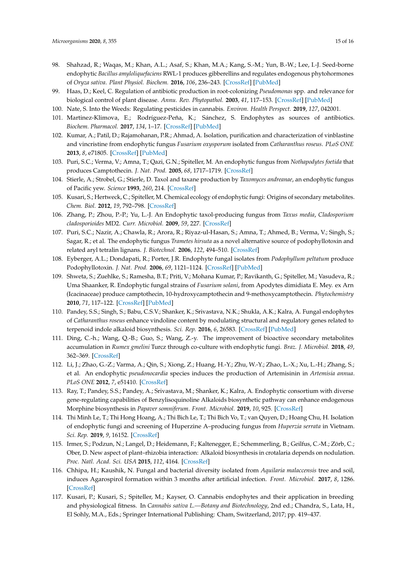- <span id="page-14-0"></span>98. Shahzad, R.; Waqas, M.; Khan, A.L.; Asaf, S.; Khan, M.A.; Kang, S.-M.; Yun, B.-W.; Lee, I.-J. Seed-borne endophytic *Bacillus amyloliquefaciens* RWL-1 produces gibberellins and regulates endogenous phytohormones of *Oryza sativa*. *Plant Physiol. Biochem.* **2016**, *106*, 236–243. [\[CrossRef\]](http://dx.doi.org/10.1016/j.plaphy.2016.05.006) [\[PubMed\]](http://www.ncbi.nlm.nih.gov/pubmed/27182958)
- <span id="page-14-1"></span>99. Haas, D.; Keel, C. Regulation of antibiotic production in root-colonizing *Pseudomonas* spp. and relevance for biological control of plant disease. *Annu. Rev. Phytopathol.* **2003**, *41*, 117–153. [\[CrossRef\]](http://dx.doi.org/10.1146/annurev.phyto.41.052002.095656) [\[PubMed\]](http://www.ncbi.nlm.nih.gov/pubmed/12730389)
- <span id="page-14-2"></span>100. Nate, S. Into the Weeds: Regulating pesticides in cannabis. *Environ. Health Perspect.* **2019**, *127*, 042001.
- <span id="page-14-3"></span>101. Martinez-Klimova, E.; Rodríguez-Peña, K.; Sánchez, S. Endophytes as sources of antibiotics. *Biochem. Pharmacol.* **2017**, *134*, 1–17. [\[CrossRef\]](http://dx.doi.org/10.1016/j.bcp.2016.10.010) [\[PubMed\]](http://www.ncbi.nlm.nih.gov/pubmed/27984002)
- <span id="page-14-4"></span>102. Kumar, A.; Patil, D.; Rajamohanan, P.R.; Ahmad, A. Isolation, purification and characterization of vinblastine and vincristine from endophytic fungus *Fusarium oxysporum* isolated from *Catharanthus roseus*. *PLoS ONE* **2013**, *8*, e71805. [\[CrossRef\]](http://dx.doi.org/10.1371/journal.pone.0071805) [\[PubMed\]](http://www.ncbi.nlm.nih.gov/pubmed/24066024)
- <span id="page-14-5"></span>103. Puri, S.C.; Verma, V.; Amna, T.; Qazi, G.N.; Spiteller, M. An endophytic fungus from *Nothapodytes foetida* that produces Camptothecin. *J. Nat. Prod.* **2005**, *68*, 1717–1719. [\[CrossRef\]](http://dx.doi.org/10.1021/np0502802)
- <span id="page-14-6"></span>104. Stierle, A.; Strobel, G.; Stierle, D. Taxol and taxane production by *Taxomyces andreanae*, an endophytic fungus of Pacific yew. *Science* **1993**, *260*, 214. [\[CrossRef\]](http://dx.doi.org/10.1126/science.8097061)
- <span id="page-14-7"></span>105. Kusari, S.; Hertweck, C.; Spiteller, M. Chemical ecology of endophytic fungi: Origins of secondary metabolites. *Chem. Biol.* **2012**, *19*, 792–798. [\[CrossRef\]](http://dx.doi.org/10.1016/j.chembiol.2012.06.004)
- <span id="page-14-8"></span>106. Zhang, P.; Zhou, P.-P.; Yu, L.-J. An Endophytic taxol-producing fungus from *Taxus media*, *Cladosporium cladosporioides* MD2. *Curr. Microbiol.* **2009**, *59*, 227. [\[CrossRef\]](http://dx.doi.org/10.1007/s00284-008-9270-1)
- <span id="page-14-9"></span>107. Puri, S.C.; Nazir, A.; Chawla, R.; Arora, R.; Riyaz-ul-Hasan, S.; Amna, T.; Ahmed, B.; Verma, V.; Singh, S.; Sagar, R.; et al. The endophytic fungus *Trametes hirsuta* as a novel alternative source of podophyllotoxin and related aryl tetralin lignans. *J. Biotechnol.* **2006**, *122*, 494–510. [\[CrossRef\]](http://dx.doi.org/10.1016/j.jbiotec.2005.10.015)
- <span id="page-14-10"></span>108. Eyberger, A.L.; Dondapati, R.; Porter, J.R. Endophyte fungal isolates from *Podophyllum peltatum* produce Podophyllotoxin. *J. Nat. Prod.* **2006**, *69*, 1121–1124. [\[CrossRef\]](http://dx.doi.org/10.1021/np060174f) [\[PubMed\]](http://www.ncbi.nlm.nih.gov/pubmed/16933860)
- <span id="page-14-11"></span>109. Shweta, S.; Zuehlke, S.; Ramesha, B.T.; Priti, V.; Mohana Kumar, P.; Ravikanth, G.; Spiteller, M.; Vasudeva, R.; Uma Shaanker, R. Endophytic fungal strains of *Fusarium solani*, from Apodytes dimidiata E. Mey. ex Arn (Icacinaceae) produce camptothecin, 10-hydroxycamptothecin and 9-methoxycamptothecin. *Phytochemistry* **2010**, *71*, 117–122. [\[CrossRef\]](http://dx.doi.org/10.1016/j.phytochem.2009.09.030) [\[PubMed\]](http://www.ncbi.nlm.nih.gov/pubmed/19863979)
- <span id="page-14-12"></span>110. Pandey, S.S.; Singh, S.; Babu, C.S.V.; Shanker, K.; Srivastava, N.K.; Shukla, A.K.; Kalra, A. Fungal endophytes of *Catharanthus roseus* enhance vindoline content by modulating structural and regulatory genes related to terpenoid indole alkaloid biosynthesis. *Sci. Rep.* **2016**, *6*, 26583. [\[CrossRef\]](http://dx.doi.org/10.1038/srep26583) [\[PubMed\]](http://www.ncbi.nlm.nih.gov/pubmed/27220774)
- <span id="page-14-13"></span>111. Ding, C.-h.; Wang, Q.-B.; Guo, S.; Wang, Z.-y. The improvement of bioactive secondary metabolites accumulation in *Rumex gmelini* Turcz through co-culture with endophytic fungi. *Braz. J. Microbiol.* **2018**, *49*, 362–369. [\[CrossRef\]](http://dx.doi.org/10.1016/j.bjm.2017.04.013)
- <span id="page-14-14"></span>112. Li, J.; Zhao, G.-Z.; Varma, A.; Qin, S.; Xiong, Z.; Huang, H.-Y.; Zhu, W.-Y.; Zhao, L.-X.; Xu, L.-H.; Zhang, S.; et al. An endophytic *pseudonocardia* species induces the production of Artemisinin in *Artemisia annua*. *PLoS ONE* **2012**, *7*, e51410. [\[CrossRef\]](http://dx.doi.org/10.1371/journal.pone.0051410)
- <span id="page-14-15"></span>113. Ray, T.; Pandey, S.S.; Pandey, A.; Srivastava, M.; Shanker, K.; Kalra, A. Endophytic consortium with diverse gene-regulating capabilities of Benzylisoquinoline Alkaloids biosynthetic pathway can enhance endogenous Morphine biosynthesis in *Papaver somniferum*. *Front. Microbiol.* **2019**, *10*, 925. [\[CrossRef\]](http://dx.doi.org/10.3389/fmicb.2019.00925)
- <span id="page-14-16"></span>114. Thi Minh Le, T.; Thi Hong Hoang, A.; Thi Bich Le, T.; Thi Bich Vo, T.; van Quyen, D.; Hoang Chu, H. Isolation of endophytic fungi and screening of Huperzine A–producing fungus from *Huperzia serrata* in Vietnam. *Sci. Rep.* **2019**, *9*, 16152. [\[CrossRef\]](http://dx.doi.org/10.1038/s41598-019-52481-2)
- <span id="page-14-17"></span>115. Irmer, S.; Podzun, N.; Langel, D.; Heidemann, F.; Kaltenegger, E.; Schemmerling, B.; Geilfus, C.-M.; Zörb, C.; Ober, D. New aspect of plant–rhizobia interaction: Alkaloid biosynthesis in crotalaria depends on nodulation. *Proc. Natl. Acad. Sci. USA* **2015**, *112*, 4164. [\[CrossRef\]](http://dx.doi.org/10.1073/pnas.1423457112)
- <span id="page-14-18"></span>116. Chhipa, H.; Kaushik, N. Fungal and bacterial diversity isolated from *Aquilaria malaccensis* tree and soil, induces Agarospirol formation within 3 months after artificial infection. *Front. Microbiol.* **2017**, *8*, 1286. [\[CrossRef\]](http://dx.doi.org/10.3389/fmicb.2017.01286)
- <span id="page-14-19"></span>117. Kusari, P.; Kusari, S.; Spiteller, M.; Kayser, O. Cannabis endophytes and their application in breeding and physiological fitness. In *Cannabis sativa L.—Botany and Biotechnology*, 2nd ed.; Chandra, S., Lata, H., El Sohly, M.A., Eds.; Springer International Publishing: Cham, Switzerland, 2017; pp. 419–437.